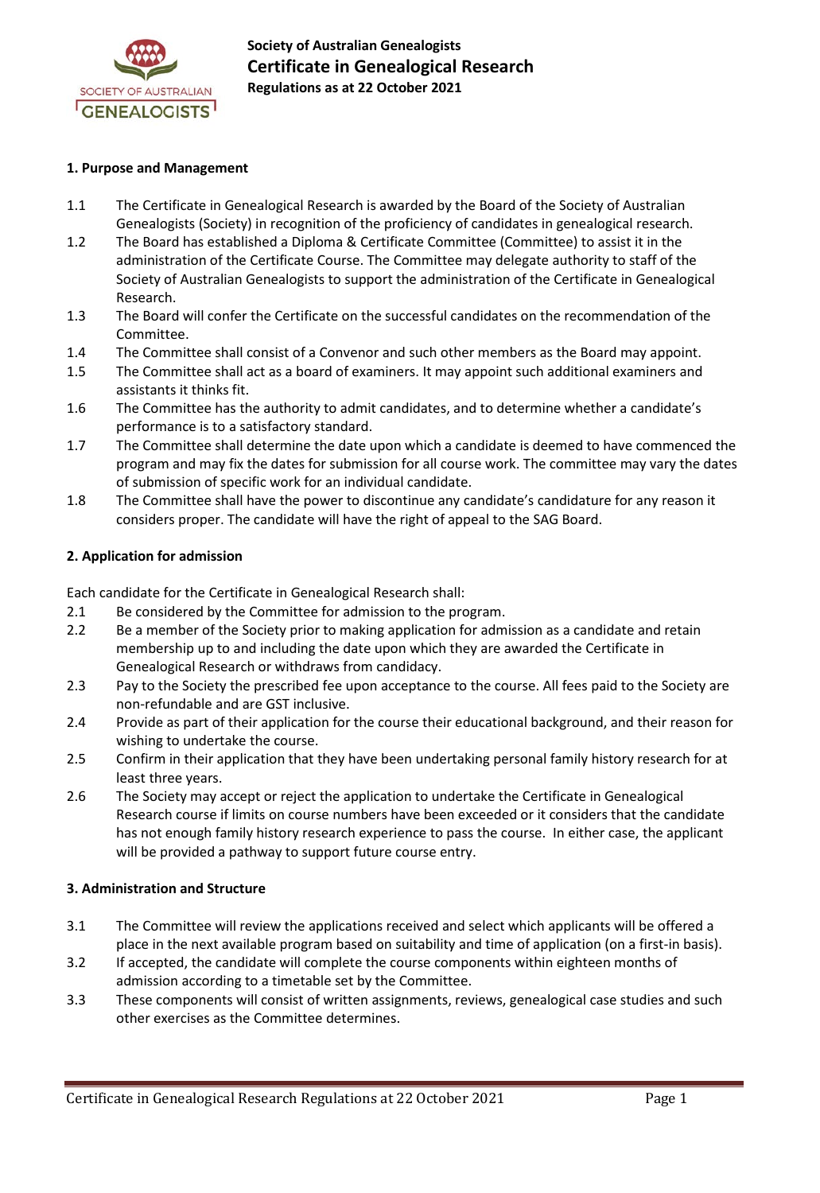

**Society of Australian Genealogists Certificate in Genealogical Research Regulations as at 22 October 2021**

## **1. Purpose and Management**

- 1.1 The Certificate in Genealogical Research is awarded by the Board of the Society of Australian Genealogists (Society) in recognition of the proficiency of candidates in genealogical research.
- 1.2 The Board has established a Diploma & Certificate Committee (Committee) to assist it in the administration of the Certificate Course. The Committee may delegate authority to staff of the Society of Australian Genealogists to support the administration of the Certificate in Genealogical Research.
- 1.3 The Board will confer the Certificate on the successful candidates on the recommendation of the Committee.
- 1.4 The Committee shall consist of a Convenor and such other members as the Board may appoint.
- 1.5 The Committee shall act as a board of examiners. It may appoint such additional examiners and assistants it thinks fit.
- 1.6 The Committee has the authority to admit candidates, and to determine whether a candidate's performance is to a satisfactory standard.
- 1.7 The Committee shall determine the date upon which a candidate is deemed to have commenced the program and may fix the dates for submission for all course work. The committee may vary the dates of submission of specific work for an individual candidate.
- 1.8 The Committee shall have the power to discontinue any candidate's candidature for any reason it considers proper. The candidate will have the right of appeal to the SAG Board.

## **2. Application for admission**

Each candidate for the Certificate in Genealogical Research shall:

- 2.1 Be considered by the Committee for admission to the program.
- 2.2 Be a member of the Society prior to making application for admission as a candidate and retain membership up to and including the date upon which they are awarded the Certificate in Genealogical Research or withdraws from candidacy.
- 2.3 Pay to the Society the prescribed fee upon acceptance to the course. All fees paid to the Society are non-refundable and are GST inclusive.
- 2.4 Provide as part of their application for the course their educational background, and their reason for wishing to undertake the course.
- 2.5 Confirm in their application that they have been undertaking personal family history research for at least three years.
- 2.6 The Society may accept or reject the application to undertake the Certificate in Genealogical Research course if limits on course numbers have been exceeded or it considers that the candidate has not enough family history research experience to pass the course. In either case, the applicant will be provided a pathway to support future course entry.

## **3. Administration and Structure**

- 3.1 The Committee will review the applications received and select which applicants will be offered a place in the next available program based on suitability and time of application (on a first-in basis).
- 3.2 If accepted, the candidate will complete the course components within eighteen months of admission according to a timetable set by the Committee.
- 3.3 These components will consist of written assignments, reviews, genealogical case studies and such other exercises as the Committee determines.